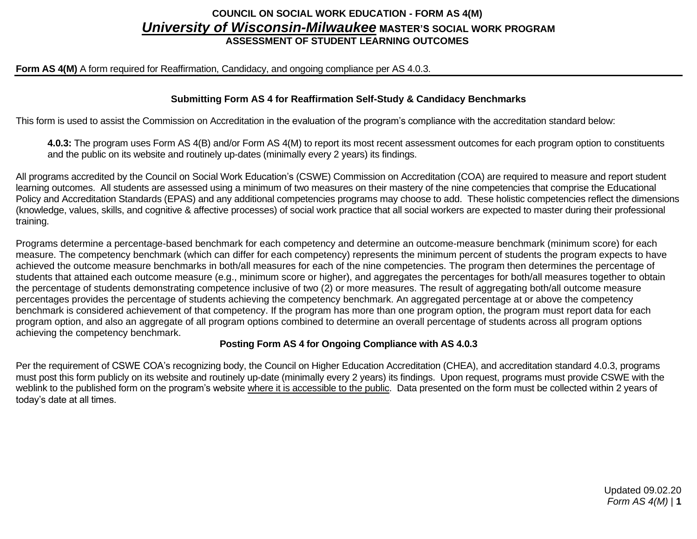## **COUNCIL ON SOCIAL WORK EDUCATION - FORM AS 4(M)** *University of Wisconsin-Milwaukee* MASTER'S SOCIAL WORK PROGRAM **ASSESSMENT OF STUDENT LEARNING OUTCOMES**

#### **Form AS 4(M)** A form required for Reaffirmation, Candidacy, and ongoing compliance per AS 4.0.3.

### **Submitting Form AS 4 for Reaffirmation Self-Study & Candidacy Benchmarks**

This form is used to assist the Commission on Accreditation in the evaluation of the program's compliance with the accreditation standard below:

**4.0.3:** The program uses Form AS 4(B) and/or Form AS 4(M) to report its most recent assessment outcomes for each program option to constituents and the public on its website and routinely up-dates (minimally every 2 years) its findings.

All programs accredited by the Council on Social Work Education's (CSWE) Commission on Accreditation (COA) are required to measure and report student learning outcomes. All students are assessed using a minimum of two measures on their mastery of the nine competencies that comprise the Educational Policy and Accreditation Standards (EPAS) and any additional competencies programs may choose to add. These holistic competencies reflect the dimensions (knowledge, values, skills, and cognitive & affective processes) of social work practice that all social workers are expected to master during their professional training.

Programs determine a percentage-based benchmark for each competency and determine an outcome-measure benchmark (minimum score) for each measure. The competency benchmark (which can differ for each competency) represents the minimum percent of students the program expects to have achieved the outcome measure benchmarks in both/all measures for each of the nine competencies. The program then determines the percentage of students that attained each outcome measure (e.g., minimum score or higher), and aggregates the percentages for both/all measures together to obtain the percentage of students demonstrating competence inclusive of two (2) or more measures. The result of aggregating both/all outcome measure percentages provides the percentage of students achieving the competency benchmark. An aggregated percentage at or above the competency benchmark is considered achievement of that competency. If the program has more than one program option, the program must report data for each program option, and also an aggregate of all program options combined to determine an overall percentage of students across all program options achieving the competency benchmark.

#### **Posting Form AS 4 for Ongoing Compliance with AS 4.0.3**

Per the requirement of CSWE COA's recognizing body, the Council on Higher Education Accreditation (CHEA), and accreditation standard 4.0.3, programs must post this form publicly on its website and routinely up-date (minimally every 2 years) its findings. Upon request, programs must provide CSWE with the weblink to the published form on the program's website where it is accessible to the public. Data presented on the form must be collected within 2 years of today's date at all times.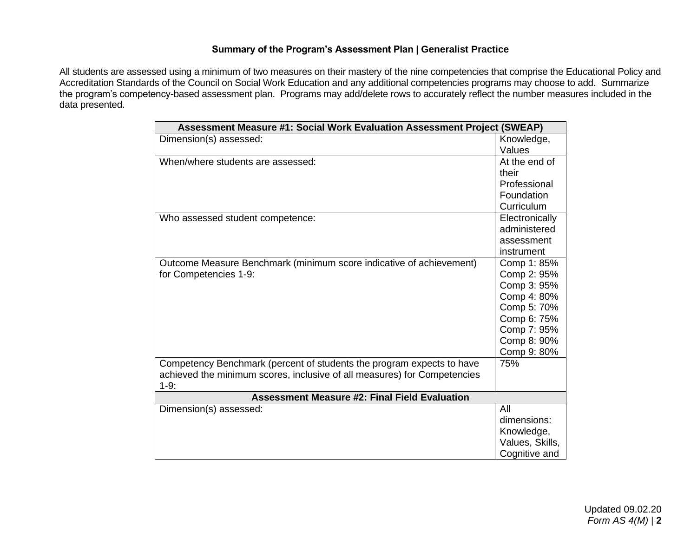## **Summary of the Program's Assessment Plan | Generalist Practice**

All students are assessed using a minimum of two measures on their mastery of the nine competencies that comprise the Educational Policy and Accreditation Standards of the Council on Social Work Education and any additional competencies programs may choose to add. Summarize the program's competency-based assessment plan. Programs may add/delete rows to accurately reflect the number measures included in the data presented.

| Assessment Measure #1: Social Work Evaluation Assessment Project (SWEAP) |                 |  |  |  |
|--------------------------------------------------------------------------|-----------------|--|--|--|
| Dimension(s) assessed:                                                   | Knowledge,      |  |  |  |
|                                                                          | Values          |  |  |  |
| When/where students are assessed:                                        | At the end of   |  |  |  |
|                                                                          | their           |  |  |  |
|                                                                          | Professional    |  |  |  |
|                                                                          | Foundation      |  |  |  |
|                                                                          | Curriculum      |  |  |  |
| Who assessed student competence:                                         | Electronically  |  |  |  |
|                                                                          | administered    |  |  |  |
|                                                                          | assessment      |  |  |  |
|                                                                          | instrument      |  |  |  |
| Outcome Measure Benchmark (minimum score indicative of achievement)      | Comp 1: 85%     |  |  |  |
| for Competencies 1-9:                                                    | Comp 2: 95%     |  |  |  |
|                                                                          | Comp 3: 95%     |  |  |  |
|                                                                          | Comp 4: 80%     |  |  |  |
|                                                                          | Comp 5: 70%     |  |  |  |
|                                                                          | Comp 6: 75%     |  |  |  |
|                                                                          | Comp 7: 95%     |  |  |  |
|                                                                          | Comp 8: 90%     |  |  |  |
|                                                                          | Comp 9: 80%     |  |  |  |
| Competency Benchmark (percent of students the program expects to have    | 75%             |  |  |  |
| achieved the minimum scores, inclusive of all measures) for Competencies |                 |  |  |  |
| $1-9:$                                                                   |                 |  |  |  |
| <b>Assessment Measure #2: Final Field Evaluation</b>                     |                 |  |  |  |
| Dimension(s) assessed:                                                   | All             |  |  |  |
|                                                                          | dimensions:     |  |  |  |
|                                                                          | Knowledge,      |  |  |  |
|                                                                          | Values, Skills, |  |  |  |
|                                                                          | Cognitive and   |  |  |  |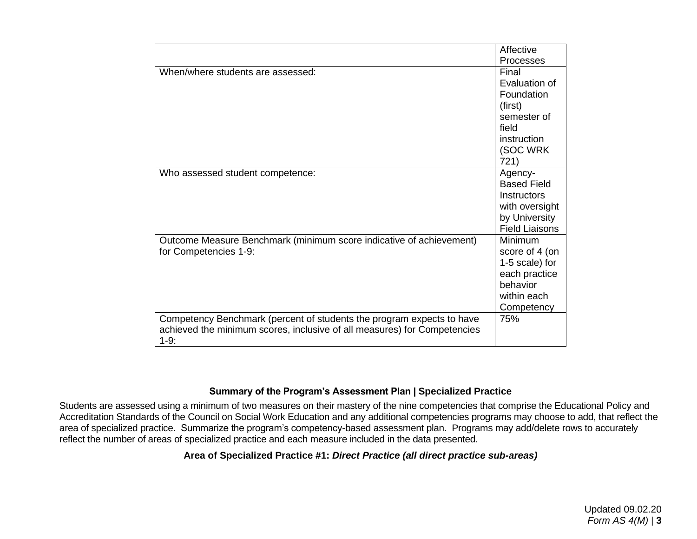|                                                                          | Affective             |
|--------------------------------------------------------------------------|-----------------------|
|                                                                          | <b>Processes</b>      |
| When/where students are assessed:                                        | Final                 |
|                                                                          | Evaluation of         |
|                                                                          | Foundation            |
|                                                                          | (first)               |
|                                                                          | semester of           |
|                                                                          | field                 |
|                                                                          | instruction           |
|                                                                          | (SOC WRK              |
|                                                                          | 721)                  |
| Who assessed student competence:                                         | Agency-               |
|                                                                          | <b>Based Field</b>    |
|                                                                          | <b>Instructors</b>    |
|                                                                          | with oversight        |
|                                                                          | by University         |
|                                                                          | <b>Field Liaisons</b> |
| Outcome Measure Benchmark (minimum score indicative of achievement)      | Minimum               |
| for Competencies 1-9:                                                    | score of 4 (on        |
|                                                                          | 1-5 scale) for        |
|                                                                          | each practice         |
|                                                                          | behavior              |
|                                                                          | within each           |
|                                                                          | Competency            |
| Competency Benchmark (percent of students the program expects to have    | 75%                   |
| achieved the minimum scores, inclusive of all measures) for Competencies |                       |
| $1-9:$                                                                   |                       |

#### **Summary of the Program's Assessment Plan | Specialized Practice**

Students are assessed using a minimum of two measures on their mastery of the nine competencies that comprise the Educational Policy and Accreditation Standards of the Council on Social Work Education and any additional competencies programs may choose to add, that reflect the area of specialized practice. Summarize the program's competency-based assessment plan. Programs may add/delete rows to accurately reflect the number of areas of specialized practice and each measure included in the data presented.

## **Area of Specialized Practice #1:** *Direct Practice (all direct practice sub-areas)*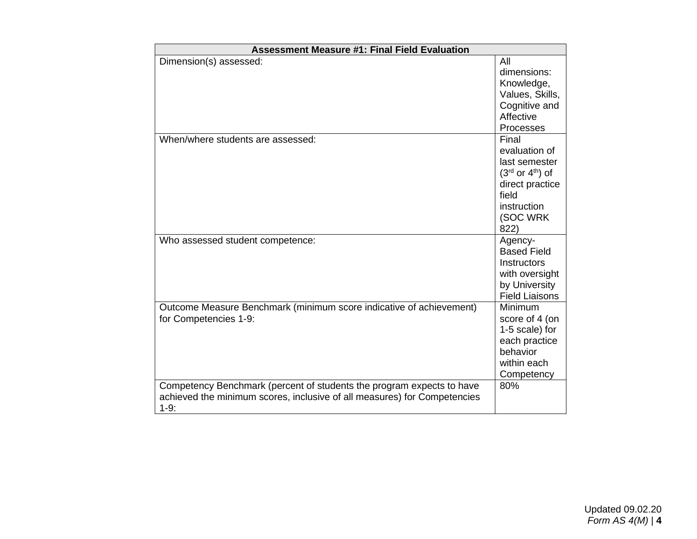| <b>Assessment Measure #1: Final Field Evaluation</b>                                                                                                        |                                                                                                                                |
|-------------------------------------------------------------------------------------------------------------------------------------------------------------|--------------------------------------------------------------------------------------------------------------------------------|
| Dimension(s) assessed:                                                                                                                                      | All<br>dimensions:<br>Knowledge,<br>Values, Skills,<br>Cognitive and<br>Affective<br>Processes                                 |
| When/where students are assessed:                                                                                                                           | Final<br>evaluation of<br>last semester<br>$(3rd$ or $4th$ ) of<br>direct practice<br>field<br>instruction<br>(SOC WRK<br>822) |
| Who assessed student competence:                                                                                                                            | Agency-<br><b>Based Field</b><br><b>Instructors</b><br>with oversight<br>by University<br><b>Field Liaisons</b>                |
| Outcome Measure Benchmark (minimum score indicative of achievement)<br>for Competencies 1-9:                                                                | Minimum<br>score of 4 (on<br>1-5 scale) for<br>each practice<br>behavior<br>within each<br>Competency                          |
| Competency Benchmark (percent of students the program expects to have<br>achieved the minimum scores, inclusive of all measures) for Competencies<br>$1-9:$ | 80%                                                                                                                            |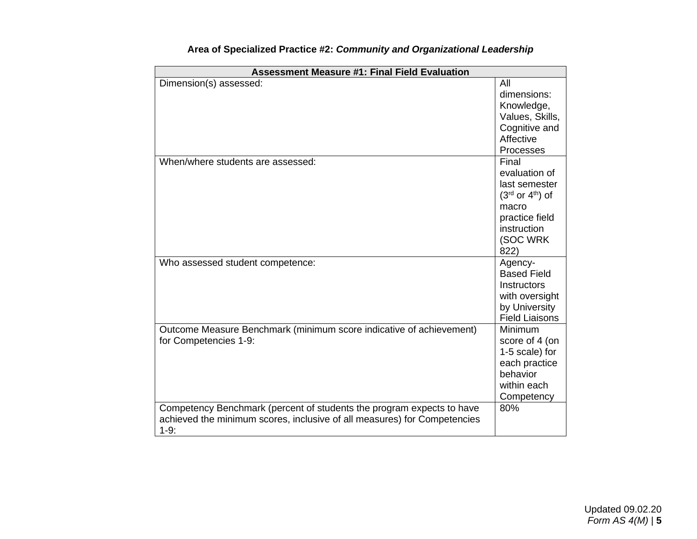| <b>Assessment Measure #1: Final Field Evaluation</b>                     |                                 |  |  |  |
|--------------------------------------------------------------------------|---------------------------------|--|--|--|
| Dimension(s) assessed:                                                   | All<br>dimensions:              |  |  |  |
|                                                                          | Knowledge,                      |  |  |  |
|                                                                          | Values, Skills,                 |  |  |  |
|                                                                          | Cognitive and                   |  |  |  |
|                                                                          | Affective                       |  |  |  |
|                                                                          | Processes                       |  |  |  |
| When/where students are assessed:                                        | Final                           |  |  |  |
|                                                                          | evaluation of                   |  |  |  |
|                                                                          | last semester                   |  |  |  |
|                                                                          | $(3rd$ or $4th$ ) of            |  |  |  |
|                                                                          | macro                           |  |  |  |
|                                                                          | practice field                  |  |  |  |
|                                                                          | instruction                     |  |  |  |
|                                                                          | (SOC WRK                        |  |  |  |
|                                                                          | 822)                            |  |  |  |
| Who assessed student competence:                                         | Agency-                         |  |  |  |
|                                                                          | <b>Based Field</b>              |  |  |  |
|                                                                          | Instructors                     |  |  |  |
|                                                                          | with oversight<br>by University |  |  |  |
|                                                                          | <b>Field Liaisons</b>           |  |  |  |
| Outcome Measure Benchmark (minimum score indicative of achievement)      | Minimum                         |  |  |  |
| for Competencies 1-9:                                                    | score of 4 (on                  |  |  |  |
|                                                                          | 1-5 scale) for                  |  |  |  |
|                                                                          | each practice                   |  |  |  |
|                                                                          | behavior                        |  |  |  |
|                                                                          | within each                     |  |  |  |
|                                                                          | Competency                      |  |  |  |
| Competency Benchmark (percent of students the program expects to have    | 80%                             |  |  |  |
| achieved the minimum scores, inclusive of all measures) for Competencies |                                 |  |  |  |
| $1-9:$                                                                   |                                 |  |  |  |

# **Area of Specialized Practice #2:** *Community and Organizational Leadership*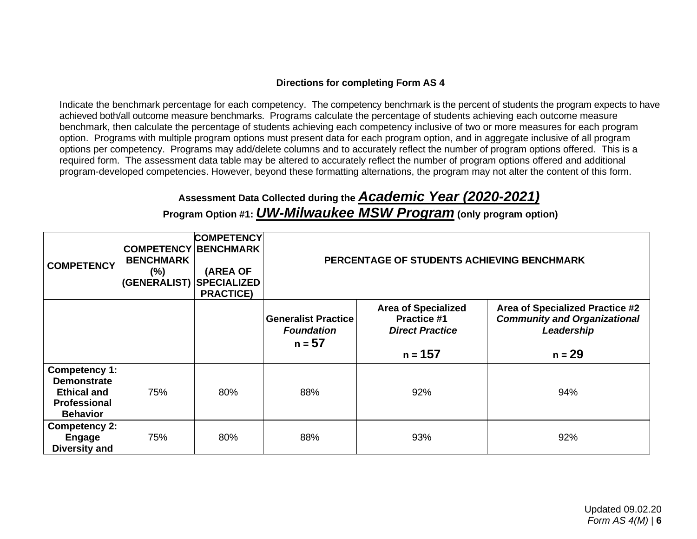## **Directions for completing Form AS 4**

Indicate the benchmark percentage for each competency. The competency benchmark is the percent of students the program expects to have achieved both/all outcome measure benchmarks. Programs calculate the percentage of students achieving each outcome measure benchmark, then calculate the percentage of students achieving each competency inclusive of two or more measures for each program option. Programs with multiple program options must present data for each program option, and in aggregate inclusive of all program options per competency. Programs may add/delete columns and to accurately reflect the number of program options offered. This is a required form. The assessment data table may be altered to accurately reflect the number of program options offered and additional program-developed competencies. However, beyond these formatting alternations, the program may not alter the content of this form.

# **Assessment Data Collected during the** *Academic Year (2020-2021)*

**Program Option #1:** *UW-Milwaukee MSW Program* **(only program option)**

| <b>COMPETENCY</b>                                                                                          | <b>COMPETENCY BENCHMARK</b><br><b>BENCHMARK</b><br>$(\%)$<br><b>(GENERALIST) SPECIALIZED</b> | <b>COMPETENCY</b><br>(AREA OF<br><b>PRACTICE)</b> | PERCENTAGE OF STUDENTS ACHIEVING BENCHMARK                  |                                                                            |                                                                                      |
|------------------------------------------------------------------------------------------------------------|----------------------------------------------------------------------------------------------|---------------------------------------------------|-------------------------------------------------------------|----------------------------------------------------------------------------|--------------------------------------------------------------------------------------|
|                                                                                                            |                                                                                              |                                                   | <b>Generalist Practice</b><br><b>Foundation</b><br>$n = 57$ | <b>Area of Specialized</b><br><b>Practice #1</b><br><b>Direct Practice</b> | Area of Specialized Practice #2<br><b>Community and Organizational</b><br>Leadership |
|                                                                                                            |                                                                                              |                                                   |                                                             | n = 157                                                                    | $n = 29$                                                                             |
| <b>Competency 1:</b><br><b>Demonstrate</b><br><b>Ethical and</b><br><b>Professional</b><br><b>Behavior</b> | 75%                                                                                          | 80%                                               | 88%                                                         | 92%                                                                        | 94%                                                                                  |
| <b>Competency 2:</b><br><b>Engage</b><br><b>Diversity and</b>                                              | 75%                                                                                          | 80%                                               | 88%                                                         | 93%                                                                        | 92%                                                                                  |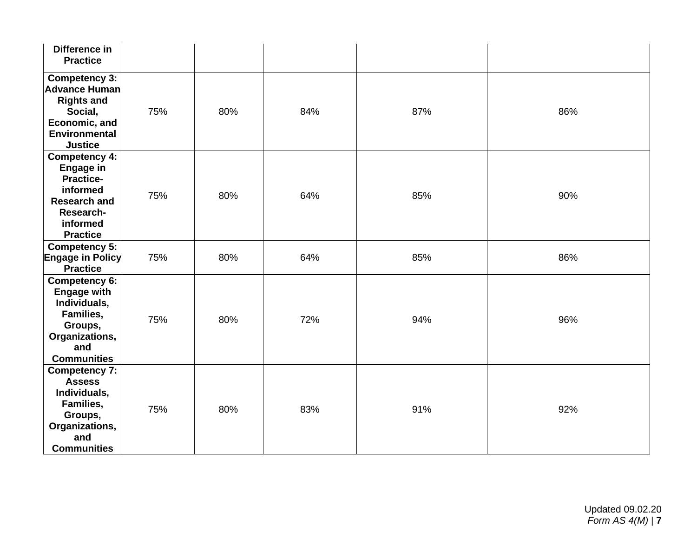| Difference in<br><b>Practice</b>                                                                                                            |     |     |     |     |     |
|---------------------------------------------------------------------------------------------------------------------------------------------|-----|-----|-----|-----|-----|
| <b>Competency 3:</b><br>Advance Human<br><b>Rights and</b><br>Social,<br>Economic, and<br><b>Environmental</b><br><b>Justice</b>            | 75% | 80% | 84% | 87% | 86% |
| <b>Competency 4:</b><br><b>Engage in</b><br><b>Practice-</b><br>informed<br><b>Research and</b><br>Research-<br>informed<br><b>Practice</b> | 75% | 80% | 64% | 85% | 90% |
| <b>Competency 5:</b><br><b>Engage in Policy</b><br><b>Practice</b>                                                                          | 75% | 80% | 64% | 85% | 86% |
| Competency 6:<br><b>Engage with</b><br>Individuals,<br>Families,<br>Groups,<br>Organizations,<br>and<br><b>Communities</b>                  | 75% | 80% | 72% | 94% | 96% |
| <b>Competency 7:</b><br><b>Assess</b><br>Individuals,<br>Families,<br>Groups,<br>Organizations,<br>and<br><b>Communities</b>                | 75% | 80% | 83% | 91% | 92% |